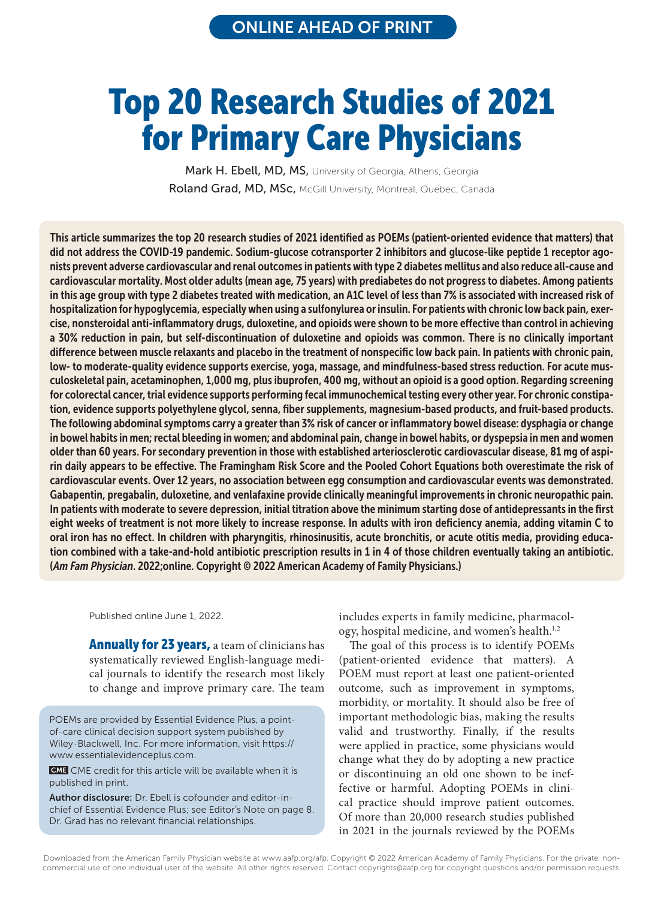# Top 20 Research Studies of 2021 for Primary Care Physicians

Mark H. Ebell, MD, MS, University of Georgia, Athens, Georgia Roland Grad, MD, MSc, McGill University, Montreal, Quebec, Canada

This article summarizes the top 20 research studies of 2021 identified as POEMs (patient-oriented evidence that matters) that did not address the COVID-19 pandemic. Sodium-glucose cotransporter 2 inhibitors and glucose-like peptide 1 receptor agonists prevent adverse cardiovascular and renal outcomes in patients with type 2 diabetes mellitus and also reduce all-cause and cardiovascular mortality. Most older adults (mean age, 75 years) with prediabetes do not progress to diabetes. Among patients in this age group with type 2 diabetes treated with medication, an A1C level of less than 7% is associated with increased risk of hospitalization for hypoglycemia, especially when using a sulfonylurea or insulin. For patients with chronic low back pain, exercise, nonsteroidal anti-inflammatory drugs, duloxetine, and opioids were shown to be more effective than control in achieving a 30% reduction in pain, but self-discontinuation of duloxetine and opioids was common. There is no clinically important difference between muscle relaxants and placebo in the treatment of nonspecific low back pain. In patients with chronic pain, low- to moderate-quality evidence supports exercise, yoga, massage, and mindfulness-based stress reduction. For acute musculoskeletal pain, acetaminophen, 1,000 mg, plus ibuprofen, 400 mg, without an opioid is a good option. Regarding screening for colorectal cancer, trial evidence supports performing fecal immunochemical testing every other year. For chronic constipation, evidence supports polyethylene glycol, senna, fiber supplements, magnesium-based products, and fruit-based products. The following abdominal symptoms carry a greater than 3% risk of cancer or inflammatory bowel disease: dysphagia or change in bowel habits in men; rectal bleeding in women; and abdominal pain, change in bowel habits, or dyspepsia in men and women older than 60 years. For secondary prevention in those with established arteriosclerotic cardiovascular disease, 81 mg of aspirin daily appears to be effective. The Framingham Risk Score and the Pooled Cohort Equations both overestimate the risk of cardiovascular events. Over 12 years, no association between egg consumption and cardiovascular events was demonstrated. Gabapentin, pregabalin, duloxetine, and venlafaxine provide clinically meaningful improvements in chronic neuropathic pain. In patients with moderate to severe depression, initial titration above the minimum starting dose of antidepressants in the first eight weeks of treatment is not more likely to increase response. In adults with iron deficiency anemia, adding vitamin C to oral iron has no effect. In children with pharyngitis, rhinosinusitis, acute bronchitis, or acute otitis media, providing education combined with a take-and-hold antibiotic prescription results in 1 in 4 of those children eventually taking an antibiotic. (*Am Fam Physician*. 2022;online. Copyright © 2022 American Academy of Family Physicians.)

Published online June 1, 2022.

**Annually for 23 years, a team of clinicians has** systematically reviewed English-language medical journals to identify the research most likely to change and improve primary care. The team

POEMs are provided by Essential Evidence Plus, a pointof-care clinical decision support system published by Wiley-Blackwell, Inc. For more information, visit https:// www.essentialevidenceplus.com.

**CME** CME credit for this article will be available when it is published in print.

Author disclosure: Dr. Ebell is cofounder and editor-inchief of Essential Evidence Plus; see Editor's Note on page 8. Dr. Grad has no relevant financial relationships.

includes experts in family medicine, pharmacology, hospital medicine, and women's health.<sup>1,2</sup>

The goal of this process is to identify POEMs (patient-oriented evidence that matters). A POEM must report at least one patient-oriented outcome, such as improvement in symptoms, morbidity, or mortality. It should also be free of important methodologic bias, making the results valid and trustworthy. Finally, if the results were applied in practice, some physicians would change what they do by adopting a new practice or discontinuing an old one shown to be ineffective or harmful. Adopting POEMs in clinical practice should improve patient outcomes. Of more than 20,000 research studies published in 2021 in the journals reviewed by the POEMs **DREE CONFIGUATE:** CONFIGUATE: Dr. Ebell is cofounder and editor-in-<br> **Author disclosure:** Dr. Ebell is cofounder and editor-in-<br>
chief of Essential Evidence Plus; see Editor's Note on page 8.<br>
Dr. Grad has no relevant fin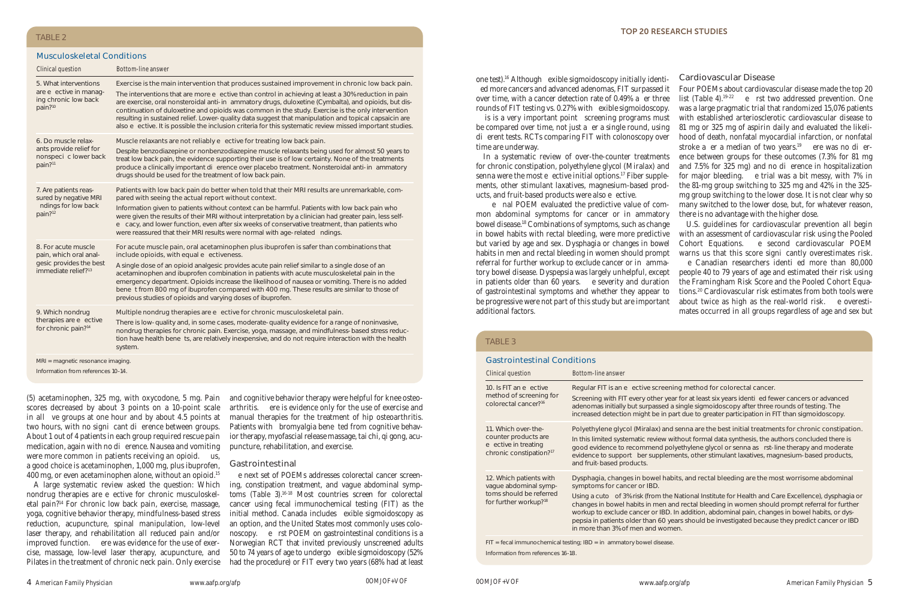## Musculoskeletal Conditions

scores decreased by about 3 points on a 10-point scale in all ve groups at one hour and by about 4.5 points at two hours, with no signicant dierence between groups. About 1 out of 4 patients in each group required rescue pain medication, again with no dierence. Nausea and vomiting were more common in patients receiving an opioid. us, a good choice is acetaminophen, 1,000 mg, plus ibuprofen, 400 mg, or even acetaminophen alone, without an opioid.15

A large systematic review asked the question: Which nondrug therapies are e ective for chronic musculoskeletal pain?14 For chronic low back pain, exercise, massage, yoga, cognitive behavior therapy, mindfulness-based stress reduction, acupuncture, spinal manipulation, low-level laser therapy, and rehabilitation all reduced pain and/or improved function. ere was evidence for the use of exercise, massage, low-level laser therapy, acupuncture, and Pilates in the treatment of chronic neck pain. Only exercise

(5) acetaminophen, 325 mg, with oxycodone, 5 mg. Pain and cognitive behavior therapy were helpful for knee osteoarthritis. ere is evidence only for the use of exercise and manual therapies for the treatment of hip osteoarthritis. Patients with bromyalgia bene ted from cognitive behavior therapy, myofascial release massage, tai chi, qi gong, acupuncture, rehabilitation, and exercise.

### Gastrointestinal

e next set of POEMs addresses colorectal cancer screening, constipation treatment, and vague abdominal symptoms (Table 3). 16-18 Most countries screen for colorectal cancer using fecal immunochemical testing (FIT) as the initial method. Canada includes exible sigmoidoscopy as an option, and the United States most commonly uses colonoscopy. e rst POEM on gastrointestinal conditions is a Norwegian RCT that invited previously unscreened adults 50 to 74 years of age to undergo exible sigmoidoscopy (52% had the procedure) or FIT every two years (68% had at least

one test).16 Although exible sigmoidoscopy initially identi ed more cancers and advanced adenomas, FIT surpassed it over time, with a cancer detection rate of 0.49% a er three rounds of FIT testing vs. 0.27% with exible sigmoidoscopy.

is is a very important point screening programs must be compared over time, not just a er a single round, using dierent tests. RCTs comparing FIT with colonoscopy over time are underway.

In a systematic review of over-the-counter treatments for chronic constipation, polyethylene glycol (Miralax) and senna were the most eective initial options.<sup>17</sup> Fiber supplements, other stimulant laxatives, magnesium-based products, and fruit-based products were also e ective.

e nal POEM evaluated the predictive value of common abdominal symptoms for cancer or in ammatory bowel disease.18 Combinations of symptoms, such as change in bowel habits with rectal bleeding, were more predictive but varied by age and sex. Dysphagia or changes in bowel habits in men and rectal bleeding in women should prompt referral for further workup to exclude cancer or in ammatory bowel disease. Dyspepsia was largely unhelpful, except in patients older than 60 years. e severity and duration of gastrointestinal symptoms and whether they appear to be progressive were not part of this study but are important additional factors.

#### Cardiovascular Disease

Four POEMs about cardiovascular disease made the top 20 list (Table 4).<sup>19-22</sup> e rst two addressed prevention. One was a large pragmatic trial that randomized 15,076 patients with established arteriosclerotic cardiovascular disease to 81 mg or 325 mg of aspirin daily and evaluated the likelihood of death, nonfatal myocardial infarction, or nonfatal stroke a er a median of two years.<sup>19</sup> ere was no dierence between groups for these outcomes (7.3% for 81 mg and 7.5% for 325 mg) and no dierence in hospitalization for major bleeding. e trial was a bit messy, with 7% in the 81-mg group switching to 325 mg and 42% in the 325 mg group switching to the lower dose. It is not clear why so many switched to the lower dose, but, for whatever reason, there is no advantage with the higher dose.

U.S. guidelines for cardiovascular prevention all begin with an assessment of cardiovascular risk using the Pooled Cohort Equations. e second cardiovascular POEM warns us that this score signi cantly overestimates risk.

e Canadian researchers identi ed more than 80,000 people 40 to 79 years of age and estimated their risk using the Framingham Risk Score and the Pooled Cohort Equations.20 Cardiovascular risk estimates from both tools were about twice as high as the real-world risk. e overestimates occurred in all groups regardless of age and sex but

# TABLE 3

4 **American Family Physician** www.aafp.org/afp www.aafp.org/afp **American Family Physician** 5

+VOF 0OMJOF-

Gastrointestinal Conditions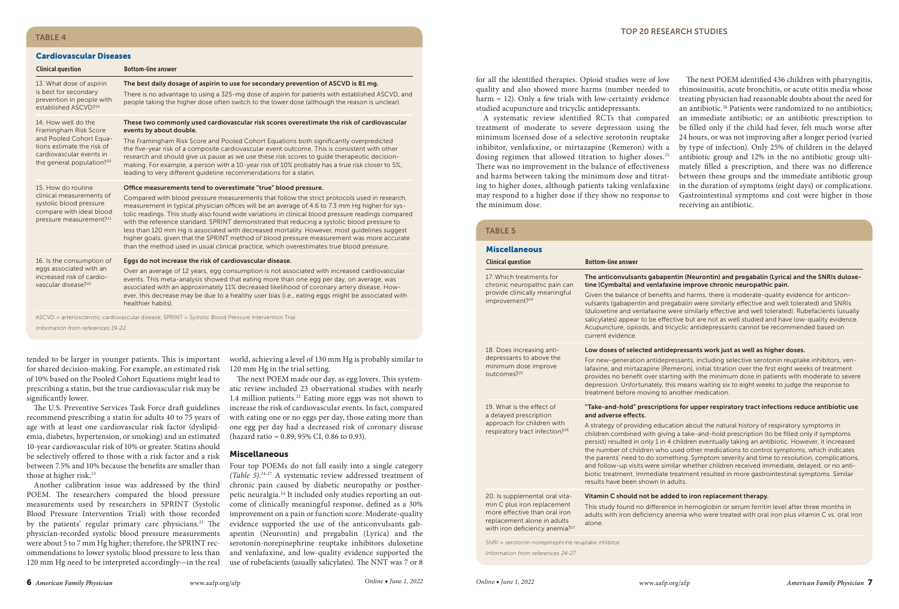#### **TOP 20 RESEARCH STUDIES**

### TABLE 4

#### Cardiovascular Diseases

| <b>Clinical question</b>                                                                                                                                                   | <b>Bottom-line answer</b>                                                                                                                                                                                                                                                                                                                                                                                                                                                                                                                                                                                                                                                                                                                                          |                                                                                                 |  |
|----------------------------------------------------------------------------------------------------------------------------------------------------------------------------|--------------------------------------------------------------------------------------------------------------------------------------------------------------------------------------------------------------------------------------------------------------------------------------------------------------------------------------------------------------------------------------------------------------------------------------------------------------------------------------------------------------------------------------------------------------------------------------------------------------------------------------------------------------------------------------------------------------------------------------------------------------------|-------------------------------------------------------------------------------------------------|--|
| 13. What dose of aspirin<br>is best for secondary<br>prevention in people with<br>established ASCVD? <sup>19</sup>                                                         | The best daily dosage of aspirin to use for secondary prevention of ASCVD is 81 mg.<br>There is no advantage to using a 325-mg dose of aspirin for patients with established ASCVD, and<br>people taking the higher dose often switch to the lower dose (although the reason is unclear).                                                                                                                                                                                                                                                                                                                                                                                                                                                                          | for all<br>quality<br>harm:<br>studie                                                           |  |
| 14. How well do the<br>Framingham Risk Score<br>and Pooled Cohort Equa-<br>tions estimate the risk of<br>cardiovascular events in<br>the general population? <sup>20</sup> | These two commonly used cardiovascular risk scores overestimate the risk of cardiovascular<br>events by about double.<br>The Framingham Risk Score and Pooled Cohort Equations both significantly overpredicted<br>the five-year risk of a composite cardiovascular event outcome. This is consistent with other<br>research and should give us pause as we use these risk scores to quide therapeutic decision-<br>making. For example, a person with a 10-year risk of 10% probably has a true risk closer to 5%,<br>leading to very different quideline recommendations for a statin.                                                                                                                                                                           | A s<br>treatm<br>minim<br>inhibit<br>dosing<br>There<br>and ha                                  |  |
| 15. How do routine<br>clinical measurements of<br>systolic blood pressure<br>compare with ideal blood<br>pressure measurement? <sup>21</sup>                               | Office measurements tend to overestimate "true" blood pressure.<br>Compared with blood pressure measurements that follow the strict protocols used in research,<br>measurement in typical physician offices will be an average of 4.6 to 7.3 mm Hg higher for sys-<br>tolic readings. This study also found wide variations in clinical blood pressure readings compared<br>with the reference standard. SPRINT demonstrated that reducing a systolic blood pressure to<br>less than 120 mm Hg is associated with decreased mortality. However, most quidelines suggest<br>higher goals, given that the SPRINT method of blood pressure measurement was more accurate<br>than the method used in usual clinical practice, which overestimates true blood pressure. | ing to<br>may re<br>the mi<br><b>TAE</b><br><b>Mis</b><br>Clini<br>17. V<br>chro<br>prov<br>imp |  |
| 16. Is the consumption of<br>eggs associated with an<br>increased risk of cardio-<br>vascular disease? <sup>22</sup>                                                       | Eggs do not increase the risk of cardiovascular disease.<br>Over an average of 12 years, egg consumption is not associated with increased cardiovascular<br>events. This meta-analysis showed that eating more than one egg per day, on average, was<br>associated with an approximately 11% decreased likelihood of coronary artery disease. How-<br>ever, this decrease may be due to a healthy user bias (i.e., eating eggs might be associated with<br>healthier habits).                                                                                                                                                                                                                                                                                      |                                                                                                 |  |
|                                                                                                                                                                            | ASCVD = arteriosclerotic cardiovascular disease; SPRINT = Systolic Blood Pressure Intervention Trial.                                                                                                                                                                                                                                                                                                                                                                                                                                                                                                                                                                                                                                                              |                                                                                                 |  |

*Information from references 19-22.*

tended to be larger in younger patients. This is important for shared decision-making. For example, an estimated risk of 10% based on the Pooled Cohort Equations might lead to prescribing a statin, but the true cardiovascular risk may be significantly lower.

The U.S. Preventive Services Task Force draft guidelines recommend prescribing a statin for adults 40 to 75 years of age with at least one cardiovascular risk factor (dyslipidemia, diabetes, hypertension, or smoking) and an estimated 10-year cardiovascular risk of 10% or greater. Statins should be selectively offered to those with a risk factor and a risk those at higher risk.<sup>23</sup>

Another calibration issue was addressed by the third POEM. The researchers compared the blood pressure measurements used by researchers in SPRINT (Systolic Blood Pressure Intervention Trial) with those recorded by the patients' regular primary care physicians.<sup>21</sup> The physician-recorded systolic blood pressure measurements were about 5 to 7 mm Hg higher; therefore, the SPRINT recommendations to lower systolic blood pressure to less than 120 mm Hg need to be interpreted accordingly—in the real world, achieving a level of 130 mm Hg is probably similar to 120 mm Hg in the trial setting.

The next POEM made our day, as egg lovers. This systematic review included 23 observational studies with nearly 1.4 million patients.<sup>22</sup> Eating more eggs was not shown to increase the risk of cardiovascular events. In fact, compared with eating one or no eggs per day, those eating more than one egg per day had a decreased risk of coronary disease (hazard ratio =  $0.89$ ;  $95\%$  CI,  $0.86$  to  $0.93$ ).

#### Miscellaneous

between 7.5% and 10% because the benefits are smaller than Four top POEMs do not fall easily into a single category *(Table 5)*. 24-27 A systematic review addressed treatment of chronic pain caused by diabetic neuropathy or postherpetic neuralgia.24 It included only studies reporting an outcome of clinically meaningful response, defined as a 30% improvement on a pain or function score. Moderate-quality evidence supported the use of the anticonvulsants gabapentin (Neurontin) and pregabalin (Lyrica) and the serotonin-norepinephrine reuptake inhibitors duloxetine and venlafaxine, and low-quality evidence supported the use of rubefacients (usually salicylates). The NNT was 7 or 8

all the identified therapies. Opioid studies were of low lity and also showed more harms (number needed to  $m = 12$ ). Only a few trials with low-certainty evidence died acupuncture and tricyclic antidepressants.

systematic review identified RCTs that compared ttment of moderate to severe depression using the minimum licensed dose of a selective serotonin reuptake ibitor, venlafaxine, or mirtazapine (Remeron) with a ing regimen that allowed titration to higher doses.<sup>25</sup> re was no improvement in the balance of effectiveness harms between taking the minimum dose and titratto higher doses, although patients taking venlafaxine respond to a higher dose if they show no response to minimum dose.

The next POEM identified 436 children with pharyngitis, rhinosinusitis, acute bronchitis, or acute otitis media whose treating physician had reasonable doubts about the need for an antibiotic.<sup>26</sup> Patients were randomized to no antibiotics; an immediate antibiotic; or an antibiotic prescription to be filled only if the child had fever, felt much worse after 24 hours, or was not improving after a longer period (varied by type of infection). Only 25% of children in the delayed antibiotic group and 12% in the no antibiotic group ultimately filled a prescription, and there was no difference between these groups and the immediate antibiotic group in the duration of symptoms (eight days) or complications. Gastrointestinal symptoms and cost were higher in those receiving an antibiotic.

#### ABLE<sub>5</sub>

| <b>Miscellaneous</b>                                                                                                    |                                                                                                                                                                                                                                                                                                                                                                                                                                                                                                                                                                                                                                                                                                                   |  |
|-------------------------------------------------------------------------------------------------------------------------|-------------------------------------------------------------------------------------------------------------------------------------------------------------------------------------------------------------------------------------------------------------------------------------------------------------------------------------------------------------------------------------------------------------------------------------------------------------------------------------------------------------------------------------------------------------------------------------------------------------------------------------------------------------------------------------------------------------------|--|
| <b>Clinical question</b>                                                                                                | <b>Bottom-line answer</b>                                                                                                                                                                                                                                                                                                                                                                                                                                                                                                                                                                                                                                                                                         |  |
| 17. Which treatments for<br>chronic neuropathic pain can<br>provide clinically meaningful<br>improvement? <sup>24</sup> | The anticonvulsants gabapentin (Neurontin) and pregabalin (Lyrica) and the SNRIs duloxe-<br>tine (Cymbalta) and venlafaxine improve chronic neuropathic pain.                                                                                                                                                                                                                                                                                                                                                                                                                                                                                                                                                     |  |
|                                                                                                                         | Given the balance of benefits and harms, there is moderate-quality evidence for anticon-<br>vulsants (gabapentin and pregabalin were similarly effective and well tolerated) and SNRIs<br>(duloxetine and venlafaxine were similarly effective and well tolerated). Rubefacients (usually<br>salicylates) appear to be effective but are not as well studied and have low-quality evidence.<br>Acupuncture, opioids, and tricyclic antidepressants cannot be recommended based on<br>current evidence.                                                                                                                                                                                                            |  |
| 18. Does increasing anti-                                                                                               | Low doses of selected antidepressants work just as well as higher doses.                                                                                                                                                                                                                                                                                                                                                                                                                                                                                                                                                                                                                                          |  |
| depressants to above the<br>minimum dose improve<br>outcomes? <sup>25</sup>                                             | For new-generation antidepressants, including selective serotonin reuptake inhibitors, ven-<br>lafaxine, and mirtazapine (Remeron), initial titration over the first eight weeks of treatment<br>provides no benefit over starting with the minimum dose in patients with moderate to severe<br>depression. Unfortunately, this means waiting six to eight weeks to judge the response to<br>treatment before moving to another medication.                                                                                                                                                                                                                                                                       |  |
| 19. What is the effect of<br>a delayed prescription                                                                     | "Take-and-hold" prescriptions for upper respiratory tract infections reduce antibiotic use<br>and adverse effects.                                                                                                                                                                                                                                                                                                                                                                                                                                                                                                                                                                                                |  |
| approach for children with<br>respiratory tract infection? <sup>26</sup>                                                | A strategy of providing education about the natural history of respiratory symptoms in<br>children combined with giving a take-and-hold prescription (to be filled only if symptoms<br>persist) resulted in only 1 in 4 children eventually taking an antibiotic. However, it increased<br>the number of children who used other medications to control symptoms, which indicates<br>the parents' need to do something. Symptom severity and time to resolution, complications,<br>and follow-up visits were similar whether children received immediate, delayed, or no anti-<br>biotic treatment. Immediate treatment resulted in more gastrointestinal symptoms. Similar<br>results have been shown in adults. |  |
| 20. Is supplemental oral vita-<br>min C plus iron replacement                                                           | Vitamin C should not be added to iron replacement therapy.<br>This study found no difference in hemoglobin or serum ferritin level after three months in                                                                                                                                                                                                                                                                                                                                                                                                                                                                                                                                                          |  |
| more effective than oral iron<br>replacement alone in adults<br>with iron deficiency anemia? <sup>27</sup>              | adults with iron deficiency anemia who were treated with oral iron plus vitamin C vs. oral iron<br>alone.                                                                                                                                                                                                                                                                                                                                                                                                                                                                                                                                                                                                         |  |
| SNRI = serotonin-norepinephrine reuptake inhibitor.                                                                     |                                                                                                                                                                                                                                                                                                                                                                                                                                                                                                                                                                                                                                                                                                                   |  |
| Information from references 24-27.                                                                                      |                                                                                                                                                                                                                                                                                                                                                                                                                                                                                                                                                                                                                                                                                                                   |  |